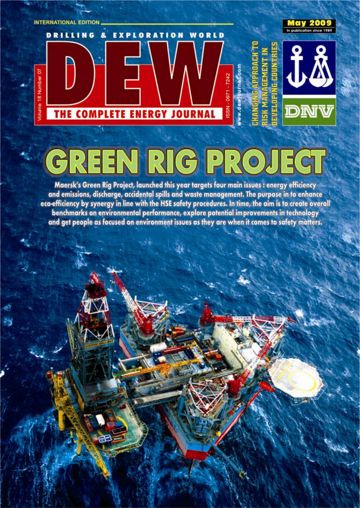

## EN RIG PR  $\bullet$ C

Maersk's Green Rig Project, launched this year targets four main issues : energy efficiency and emissions, discharge, accidental spills and waste management. The purpose in to enhance eco-efficiency by synergy in line with the HSE safety procedures. In time, the aim is to create overall benchmarks on environmental performance, explore potential improvements in technology and get people as focused on environment issues as they are when it comes to safety matters.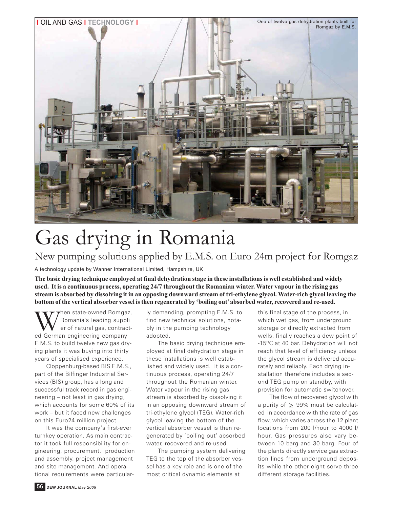

## Gas drying in Romania New pumping solutions applied by E.M.S. on Euro 24m project for Romgaz

A technology update by Wanner International Limited, Hampshire, UK

**The basic drying technique employed at final dehydration stage in these installations is well established and widely used. It is a continuous process, operating 24/7 throughout the Romanian winter. Water vapour in the rising gas stream is absorbed by dissolving it in an opposing downward stream of tri-ethylene glycol. Water-rich glycol leaving the bottom of the vertical absorber vessel is then regenerated by 'boiling out' absorbed water, recovered and re-used.**

When state-owned Romgaz,<br>er of natural gas, contract-<br>ed German engineering company Romania's leading suppli er of natural gas, contracted German engineering company E.M.S. to build twelve new gas drying plants it was buying into thirty years of specialised experience.

Cloppenburg-based BIS E.M.S., part of the Bilfinger Industrial Services (BIS) group, has a long and successful track record in gas engineering – not least in gas drying, which accounts for some 60% of its work – but it faced new challenges on this Euro24 million project.

It was the company's first-ever turnkey operation. As main contractor it took full responsibility for engineering, procurement, production and assembly, project management and site management. And operational requirements were particularly demanding, prompting E.M.S. to find new technical solutions, notably in the pumping technology adopted.

The basic drying technique employed at final dehydration stage in these installations is well established and widely used. It is a continuous process, operating 24/7 throughout the Romanian winter. Water vapour in the rising gas stream is absorbed by dissolving it in an opposing downward stream of tri-ethylene glycol (TEG). Water-rich glycol leaving the bottom of the vertical absorber vessel is then regenerated by 'boiling out' absorbed water, recovered and re-used.

The pumping system delivering TEG to the top of the absorber vessel has a key role and is one of the most critical dynamic elements at

this final stage of the process, in which wet gas, from underground storage or directly extracted from wells, finally reaches a dew point of -15ºC at 40 bar. Dehydration will not reach that level of efficiency unless the glycol stream is delivered accurately and reliably. Each drying installation therefore includes a second TEG pump on standby, with provision for automatic switchover.

The flow of recovered glycol with a purity of  $\geq$  99% must be calculated in accordance with the rate of gas flow, which varies across the 12 plant locations from 200 l/hour to 4000 l/ hour. Gas pressures also vary between 10 barg and 30 barg. Four of the plants directly service gas extraction lines from underground deposits while the other eight serve three different storage facilities.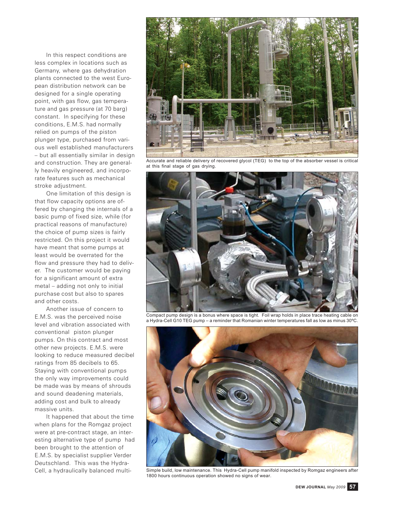In this respect conditions are less complex in locations such as Germany, where gas dehydration plants connected to the west European distribution network can be designed for a single operating point, with gas flow, gas temperature and gas pressure (at 70 barg) constant. In specifying for these conditions, E.M.S. had normally relied on pumps of the piston plunger type, purchased from various well established manufacturers – but all essentially similar in design and construction. They are generally heavily engineered, and incorporate features such as mechanical stroke adjustment.

One limitation of this design is that flow capacity options are offered by changing the internals of a basic pump of fixed size, while (for practical reasons of manufacture) the choice of pump sizes is fairly restricted. On this project it would have meant that some pumps at least would be overrated for the flow and pressure they had to deliver. The customer would be paying for a significant amount of extra metal – adding not only to initial purchase cost but also to spares and other costs.

Another issue of concern to E.M.S. was the perceived noise level and vibration associated with conventional piston plunger pumps. On this contract and most other new projects. E.M.S. were looking to reduce measured decibel ratings from 85 decibels to 65. Staying with conventional pumps the only way improvements could be made was by means of shrouds and sound deadening materials, adding cost and bulk to already massive units.

It happened that about the time when plans for the Romgaz project were at pre-contract stage, an interesting alternative type of pump had been brought to the attention of E.M.S. by specialist supplier Verder Deutschland. This was the Hydra-Cell, a hydraulically balanced multi-



Accurate and reliable delivery of recovered glycol (TEG) to the top of the absorber vessel is critical at this final stage of gas drying.



Compact pump design is a bonus where space is tight. Foil wrap holds in place trace heating cable on a Hydra-Cell G10 TEG pump – a reminder that Romanian winter temperatures fall as low as minus 30ºC.



Simple build, low maintenance. This Hydra-Cell pump manifold inspected by Romgaz engineers after 1800 hours continuous operation showed no signs of wear.